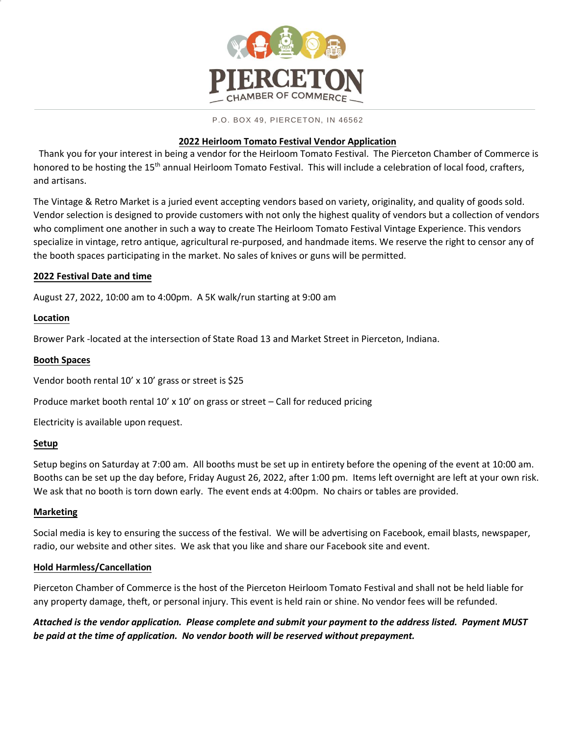

#### P.O. BOX 49, PIERCETON, IN 46562

## **2022 Heirloom Tomato Festival Vendor Application**

Thank you for your interest in being a vendor for the Heirloom Tomato Festival. The Pierceton Chamber of Commerce is honored to be hosting the 15<sup>th</sup> annual Heirloom Tomato Festival. This will include a celebration of local food, crafters, and artisans.

The Vintage & Retro Market is a juried event accepting vendors based on variety, originality, and quality of goods sold. Vendor selection is designed to provide customers with not only the highest quality of vendors but a collection of vendors who compliment one another in such a way to create The Heirloom Tomato Festival Vintage Experience. This vendors specialize in vintage, retro antique, agricultural re-purposed, and handmade items. We reserve the right to censor any of the booth spaces participating in the market. No sales of knives or guns will be permitted.

## **2022 Festival Date and time**

August 27, 2022, 10:00 am to 4:00pm. A 5K walk/run starting at 9:00 am

## **Location**

Brower Park -located at the intersection of State Road 13 and Market Street in Pierceton, Indiana.

## **Booth Spaces**

Vendor booth rental 10' x 10' grass or street is \$25

Produce market booth rental 10' x 10' on grass or street – Call for reduced pricing

Electricity is available upon request.

# **Setup**

Setup begins on Saturday at 7:00 am. All booths must be set up in entirety before the opening of the event at 10:00 am. Booths can be set up the day before, Friday August 26, 2022, after 1:00 pm. Items left overnight are left at your own risk. We ask that no booth is torn down early. The event ends at 4:00pm. No chairs or tables are provided.

# **Marketing**

Social media is key to ensuring the success of the festival. We will be advertising on Facebook, email blasts, newspaper, radio, our website and other sites. We ask that you like and share our Facebook site and event.

# **Hold Harmless/Cancellation**

Pierceton Chamber of Commerce is the host of the Pierceton Heirloom Tomato Festival and shall not be held liable for any property damage, theft, or personal injury. This event is held rain or shine. No vendor fees will be refunded.

*Attached is the vendor application. Please complete and submit your payment to the address listed. Payment MUST be paid at the time of application. No vendor booth will be reserved without prepayment.*